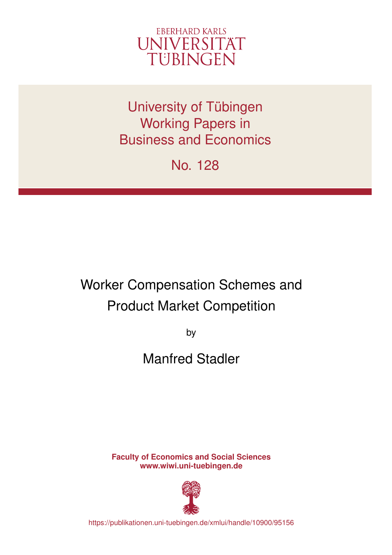

University of Tübingen Working Papers in Business and Economics

No. 128

# Worker Compensation Schemes and Product Market Competition

by

## Manfred Stadler

**Faculty of Economics and Social Sciences www.wiwi.uni-tuebingen.de**



https://publikationen.uni-tuebingen.de/xmlui/handle/10900/95156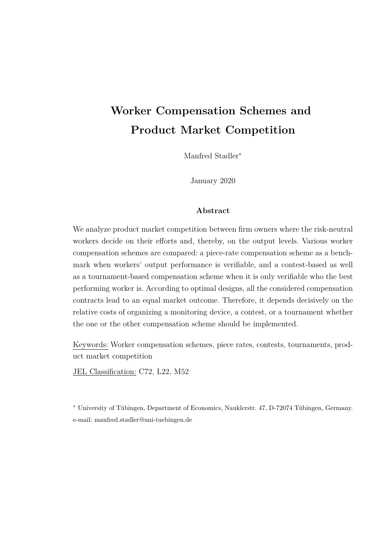## **Worker Compensation Schemes and Product Market Competition**

Manfred Stadler<sup>∗</sup>

January 2020

#### **Abstract**

We analyze product market competition between firm owners where the risk-neutral workers decide on their efforts and, thereby, on the output levels. Various worker compensation schemes are compared: a piece-rate compensation scheme as a benchmark when workers' output performance is verifiable, and a contest-based as well as a tournament-based compensation scheme when it is only verifiable who the best performing worker is. According to optimal designs, all the considered compensation contracts lead to an equal market outcome. Therefore, it depends decisively on the relative costs of organizing a monitoring device, a contest, or a tournament whether the one or the other compensation scheme should be implemented.

Keywords: Worker compensation schemes, piece rates, contests, tournaments, product market competition

JEL Classification: C72, L22, M52

<sup>∗</sup> University of Tübingen, Department of Economics, Nauklerstr. 47, D-72074 Tübingen, Germany. e-mail: manfred.stadler@uni-tuebingen.de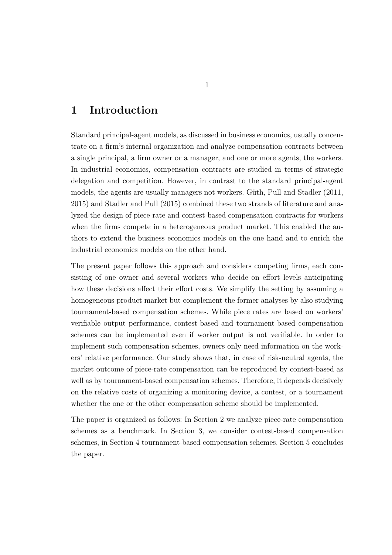## **1 Introduction**

Standard principal-agent models, as discussed in business economics, usually concentrate on a firm's internal organization and analyze compensation contracts between a single principal, a firm owner or a manager, and one or more agents, the workers. In industrial economics, compensation contracts are studied in terms of strategic delegation and competition. However, in contrast to the standard principal-agent models, the agents are usually managers not workers. Güth, Pull and Stadler (2011, 2015) and Stadler and Pull (2015) combined these two strands of literature and analyzed the design of piece-rate and contest-based compensation contracts for workers when the firms compete in a heterogeneous product market. This enabled the authors to extend the business economics models on the one hand and to enrich the industrial economics models on the other hand.

The present paper follows this approach and considers competing firms, each consisting of one owner and several workers who decide on effort levels anticipating how these decisions affect their effort costs. We simplify the setting by assuming a homogeneous product market but complement the former analyses by also studying tournament-based compensation schemes. While piece rates are based on workers' verifiable output performance, contest-based and tournament-based compensation schemes can be implemented even if worker output is not verifiable. In order to implement such compensation schemes, owners only need information on the workers' relative performance. Our study shows that, in case of risk-neutral agents, the market outcome of piece-rate compensation can be reproduced by contest-based as well as by tournament-based compensation schemes. Therefore, it depends decisively on the relative costs of organizing a monitoring device, a contest, or a tournament whether the one or the other compensation scheme should be implemented.

The paper is organized as follows: In Section 2 we analyze piece-rate compensation schemes as a benchmark. In Section 3, we consider contest-based compensation schemes, in Section 4 tournament-based compensation schemes. Section 5 concludes the paper.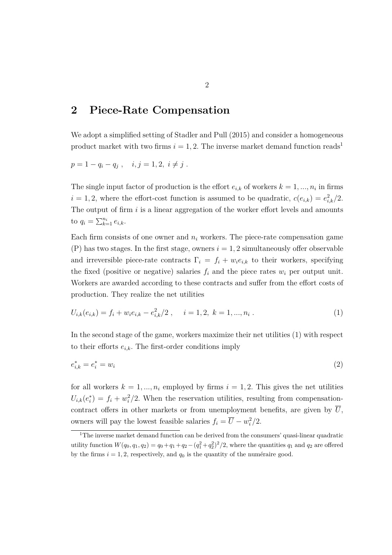#### **2 Piece-Rate Compensation**

We adopt a simplified setting of Stadler and Pull  $(2015)$  and consider a homogeneous product market with two firms  $i = 1, 2$ . The inverse market demand function reads<sup>1</sup>

$$
p = 1 - q_i - q_j , \quad i, j = 1, 2, i \neq j .
$$

The single input factor of production is the effort  $e_{i,k}$  of workers  $k = 1, ..., n_i$  in firms  $i = 1, 2$ , where the effort-cost function is assumed to be quadratic,  $c(e_{i,k}) = e_{i,k}^2/2$ . The output of firm *i* is a linear aggregation of the worker effort levels and amounts to  $q_i = \sum_{k=1}^{n_i} e_{i,k}$ .

Each firm consists of one owner and  $n_i$  workers. The piece-rate compensation game  $(P)$  has two stages. In the first stage, owners  $i = 1, 2$  simultaneously offer observable and irreversible piece-rate contracts  $\Gamma_i = f_i + w_i e_{i,k}$  to their workers, specifying the fixed (positive or negative) salaries  $f_i$  and the piece rates  $w_i$  per output unit. Workers are awarded according to these contracts and suffer from the effort costs of production. They realize the net utilities

$$
U_{i,k}(e_{i,k}) = f_i + w_i e_{i,k} - e_{i,k}^2/2 \ , \quad i = 1, 2, k = 1, ..., n_i \ . \tag{1}
$$

In the second stage of the game, workers maximize their net utilities (1) with respect to their efforts  $e_{i,k}$ . The first-order conditions imply

$$
e_{i,k}^* = e_i^* = w_i \tag{2}
$$

for all workers  $k = 1, ..., n_i$  employed by firms  $i = 1, 2$ . This gives the net utilities  $U_{i,k}(e_i^*) = f_i + w_i^2/2$ . When the reservation utilities, resulting from compensationcontract offers in other markets or from unemployment benefits, are given by  $\overline{U}$ , owners will pay the lowest feasible salaries  $f_i = \overline{U} - w_i^2/2$ .

<sup>&</sup>lt;sup>1</sup>The inverse market demand function can be derived from the consumers' quasi-linear quadratic utility function  $W(q_0, q_1, q_2) = q_0 + q_1 + q_2 - (q_1^2 + q_2^2)^2/2$ , where the quantities  $q_1$  and  $q_2$  are offered by the firms  $i = 1, 2$ , respectively, and  $q_0$  is the quantity of the numéraire good.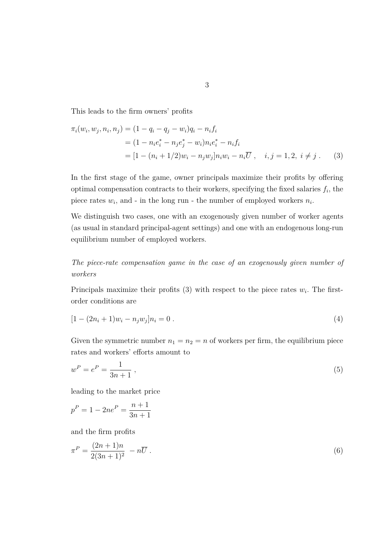This leads to the firm owners' profits

$$
\pi_i(w_i, w_j, n_i, n_j) = (1 - q_i - q_j - w_i)q_i - n_i f_i
$$
  
=  $(1 - n_i e_i^* - n_j e_j^* - w_i) n_i e_i^* - n_i f_i$   
=  $[1 - (n_i + 1/2)w_i - n_j w_j] n_i w_i - n_i \overline{U}, \quad i, j = 1, 2, i \neq j$ . (3)

In the first stage of the game, owner principals maximize their profits by offering optimal compensation contracts to their workers, specifying the fixed salaries *f<sup>i</sup>* , the piece rates  $w_i$ , and - in the long run - the number of employed workers  $n_i$ .

We distinguish two cases, one with an exogenously given number of worker agents (as usual in standard principal-agent settings) and one with an endogenous long-run equilibrium number of employed workers.

*The piece-rate compensation game in the case of an exogenously given number of workers*

Principals maximize their profits (3) with respect to the piece rates  $w_i$ . The firstorder conditions are

$$
[1 - (2ni + 1)wi - njwj]ni = 0.
$$
\n(4)

Given the symmetric number  $n_1 = n_2 = n$  of workers per firm, the equilibrium piece rates and workers' efforts amount to

$$
w^P = e^P = \frac{1}{3n+1} \,,\tag{5}
$$

leading to the market price

$$
p^{P} = 1 - 2ne^{P} = \frac{n+1}{3n+1}
$$

and the firm profits

$$
\pi^P = \frac{(2n+1)n}{2(3n+1)^2} - n\overline{U} \ . \tag{6}
$$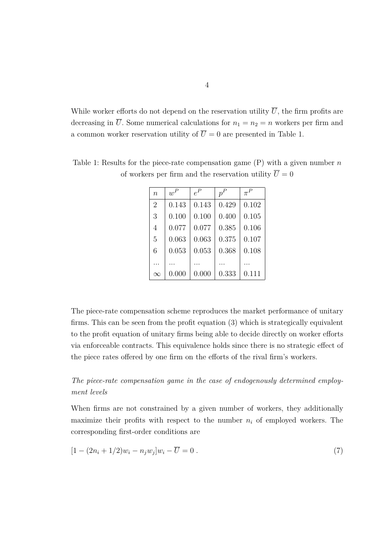While worker efforts do not depend on the reservation utility  $\overline{U}$ , the firm profits are decreasing in  $\overline{U}$ . Some numerical calculations for  $n_1 = n_2 = n$  workers per firm and a common worker reservation utility of  $\overline{U} = 0$  are presented in Table 1.

| $\eta$         | $w^P$ | $e^P$ | $p^P$ | $\pi^P$ |
|----------------|-------|-------|-------|---------|
| $\overline{2}$ | 0.143 | 0.143 | 0.429 | 0.102   |
| 3              | 0.100 | 0.100 | 0.400 | 0.105   |
| 4              | 0.077 | 0.077 | 0.385 | 0.106   |
| 5              | 0.063 | 0.063 | 0.375 | 0.107   |
| 6              | 0.053 | 0.053 | 0.368 | 0.108   |
|                |       |       |       |         |
| $\infty$       | 0.000 | 0.000 | 0.333 | 0.111   |

Table 1: Results for the piece-rate compensation game (P) with a given number *n* of workers per firm and the reservation utility  $\overline{U} = 0$ 

The piece-rate compensation scheme reproduces the market performance of unitary firms. This can be seen from the profit equation (3) which is strategically equivalent to the profit equation of unitary firms being able to decide directly on worker efforts via enforceable contracts. This equivalence holds since there is no strategic effect of the piece rates offered by one firm on the efforts of the rival firm's workers.

#### *The piece-rate compensation game in the case of endogenously determined employment levels*

When firms are not constrained by a given number of workers, they additionally maximize their profits with respect to the number  $n_i$  of employed workers. The corresponding first-order conditions are

$$
[1 - (2n_i + 1/2)w_i - n_j w_j]w_i - \overline{U} = 0.
$$
\n(7)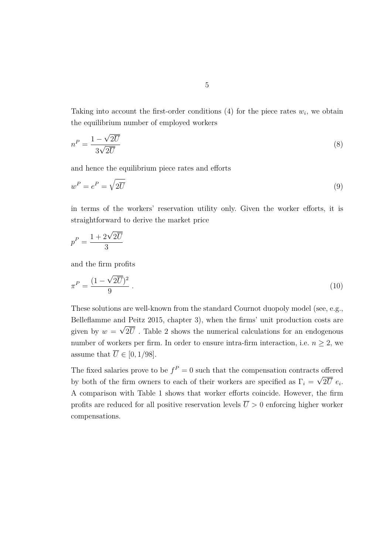Taking into account the first-order conditions  $(4)$  for the piece rates  $w_i$ , we obtain the equilibrium number of employed workers

$$
n^P = \frac{1 - \sqrt{2\overline{U}}}{3\sqrt{2\overline{U}}} \tag{8}
$$

and hence the equilibrium piece rates and efforts

$$
w^P = e^P = \sqrt{2\overline{U}}\tag{9}
$$

in terms of the workers' reservation utility only. Given the worker efforts, it is straightforward to derive the market price

$$
p^P = \frac{1 + 2\sqrt{2U}}{3}
$$

and the firm profits

$$
\pi^P = \frac{(1 - \sqrt{2U})^2}{9} \tag{10}
$$

These solutions are well-known from the standard Cournot duopoly model (see, e.g., Belleflamme and Peitz 2015, chapter 3), when the firms' unit production costs are given by  $w = \sqrt{2U}$ . Table 2 shows the numerical calculations for an endogenous number of workers per firm. In order to ensure intra-firm interaction, i.e.  $n \geq 2$ , we assume that  $\overline{U} \in [0, 1/98]$ .

The fixed salaries prove to be  $f^P = 0$  such that the compensation contracts offered by both of the firm owners to each of their workers are specified as  $\Gamma_i = \sqrt{2U} e_i$ . A comparison with Table 1 shows that worker efforts coincide. However, the firm profits are reduced for all positive reservation levels  $\overline{U} > 0$  enforcing higher worker compensations.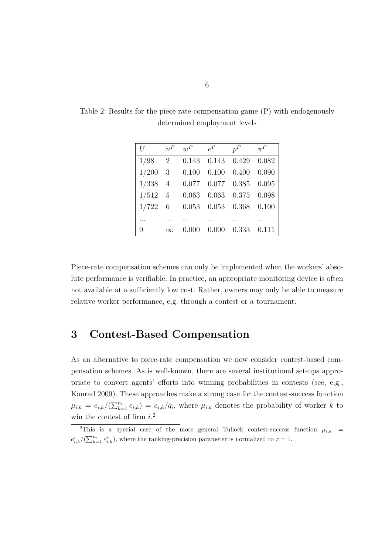| $\overline{U}$ | $n^P$          | $w^P$ | $e^P$ | $p^P$ | $\pi^P$ |
|----------------|----------------|-------|-------|-------|---------|
| 1/98           | $\overline{2}$ | 0.143 | 0.143 | 0.429 | 0.082   |
| 1/200          | 3              | 0.100 | 0.100 | 0.400 | 0.090   |
| 1/338          | 4              | 0.077 | 0.077 | 0.385 | 0.095   |
| 1/512          | 5              | 0.063 | 0.063 | 0.375 | 0.098   |
| 1/722          | 6              | 0.053 | 0.053 | 0.368 | 0.100   |
|                |                |       |       |       |         |
| 0              | $\infty$       | 0.000 | 0.000 | 0.333 | 0.111   |

Table 2: Results for the piece-rate compensation game (P) with endogenously determined employment levels

Piece-rate compensation schemes can only be implemented when the workers' absolute performance is verifiable. In practice, an appropriate monitoring device is often not available at a sufficiently low cost. Rather, owners may only be able to measure relative worker performance, e.g. through a contest or a tournament.

### **3 Contest-Based Compensation**

As an alternative to piece-rate compensation we now consider contest-based compensation schemes. As is well-known, there are several institutional set-ups appropriate to convert agents' efforts into winning probabilities in contests (see, e.g., Konrad 2009). These approaches make a strong case for the contest-success function  $\mu_{i,k} = e_{i,k}/(\sum_{k=1}^{n_i} e_{i,k}) = e_{i,k}/q_i$ , where  $\mu_{i,k}$  denotes the probability of worker *k* to win the contest of firm *i*. 2

<sup>&</sup>lt;sup>2</sup>This is a special case of the more general Tullock contest-success function  $\mu_{i,k}$  =  $e_{i,k}^r/(\sum_{k=1}^{n_i} e_{i,k}^r)$ , where the ranking-precision parameter is normalized to  $r = 1$ .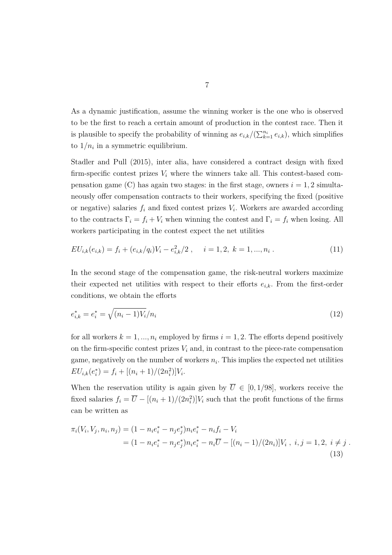As a dynamic justification, assume the winning worker is the one who is observed to be the first to reach a certain amount of production in the contest race. Then it is plausible to specify the probability of winning as  $e_{i,k}/(\sum_{k=1}^{n_i} e_{i,k})$ , which simplifies to  $1/n_i$  in a symmetric equilibrium.

Stadler and Pull (2015), inter alia, have considered a contract design with fixed firm-specific contest prizes  $V_i$  where the winners take all. This contest-based compensation game (C) has again two stages: in the first stage, owners  $i = 1, 2$  simultaneously offer compensation contracts to their workers, specifying the fixed (positive or negative) salaries  $f_i$  and fixed contest prizes  $V_i$ . Workers are awarded according to the contracts  $\Gamma_i = f_i + V_i$  when winning the contest and  $\Gamma_i = f_i$  when losing. All workers participating in the contest expect the net utilities

$$
EU_{i,k}(e_{i,k}) = f_i + (e_{i,k}/q_i)V_i - e_{i,k}^2/2 , \quad i = 1, 2, k = 1, ..., n_i .
$$
 (11)

In the second stage of the compensation game, the risk-neutral workers maximize their expected net utilities with respect to their efforts  $e_{i,k}$ . From the first-order conditions, we obtain the efforts

$$
e_{i,k}^* = e_i^* = \sqrt{(n_i - 1)V_i/n_i}
$$
\n(12)

for all workers  $k = 1, ..., n_i$  employed by firms  $i = 1, 2$ . The efforts depend positively on the firm-specific contest prizes  $V_i$  and, in contrast to the piece-rate compensation game, negatively on the number of workers  $n_i$ . This implies the expected net utilities  $EU_{i,k}(e_i^*) = f_i + [(n_i + 1)/(2n_i^2)]V_i.$ 

When the reservation utility is again given by  $\overline{U} \in [0, 1/98]$ , workers receive the fixed salaries  $f_i = \overline{U} - [(n_i + 1)/(2n_i^2)]V_i$  such that the profit functions of the firms can be written as

$$
\pi_i(V_i, V_j, n_i, n_j) = (1 - n_i e_i^* - n_j e_j^*) n_i e_i^* - n_i f_i - V_i
$$
  
= 
$$
(1 - n_i e_i^* - n_j e_j^*) n_i e_i^* - n_i \overline{U} - [(n_i - 1)/(2n_i)] V_i, i, j = 1, 2, i \neq j.
$$
  
(13)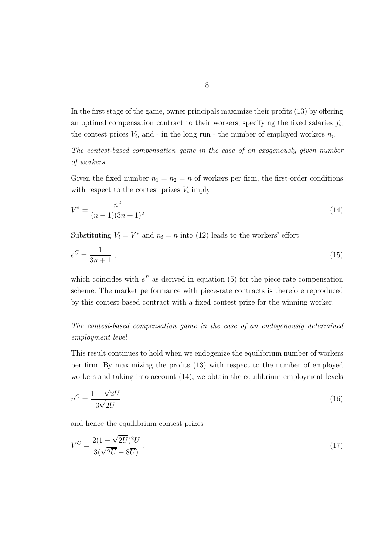In the first stage of the game, owner principals maximize their profits (13) by offering an optimal compensation contract to their workers, specifying the fixed salaries  $f_i$ , the contest prices  $V_i$ , and - in the long run - the number of employed workers  $n_i$ .

*The contest-based compensation game in the case of an exogenously given number of workers*

Given the fixed number  $n_1 = n_2 = n$  of workers per firm, the first-order conditions with respect to the contest prizes  $V_i$  imply

$$
V^* = \frac{n^2}{(n-1)(3n+1)^2} \,. \tag{14}
$$

Substituting  $V_i = V^*$  and  $n_i = n$  into (12) leads to the workers' effort

$$
e^C = \frac{1}{3n+1} \,,\tag{15}
$$

which coincides with  $e^P$  as derived in equation (5) for the piece-rate compensation scheme. The market performance with piece-rate contracts is therefore reproduced by this contest-based contract with a fixed contest prize for the winning worker.

*The contest-based compensation game in the case of an endogenously determined employment level*

This result continues to hold when we endogenize the equilibrium number of workers per firm. By maximizing the profits (13) with respect to the number of employed workers and taking into account (14), we obtain the equilibrium employment levels

$$
n^C = \frac{1 - \sqrt{2\overline{U}}}{3\sqrt{2\overline{U}}} \tag{16}
$$

and hence the equilibrium contest prizes

$$
V^C = \frac{2(1 - \sqrt{2\overline{U}})^2 \overline{U}}{3(\sqrt{2\overline{U}} - 8\overline{U})} \tag{17}
$$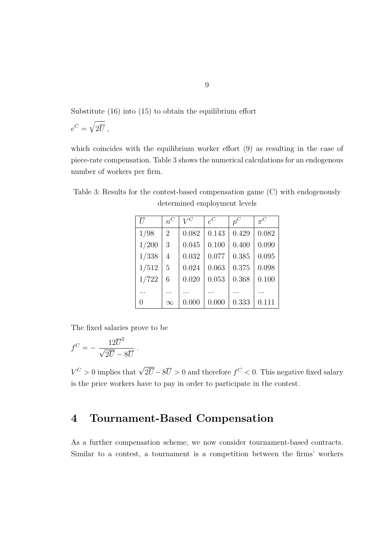Substitute (16) into (15) to obtain the equilibrium effort

$$
e^C = \sqrt{2\overline{U}} \; ,
$$

which coincides with the equilibrium worker effort (9) as resulting in the case of piece-rate compensation. Table 3 shows the numerical calculations for an endogenous number of workers per firm.

| $\overline{U}$ | $n^C$          | $V^C$ | $e^C$ | $p^C$ | $\pi^{C}$ |
|----------------|----------------|-------|-------|-------|-----------|
| 1/98           | $\overline{2}$ | 0.082 | 0.143 | 0.429 | 0.082     |
| 1/200          | 3              | 0.045 | 0.100 | 0.400 | 0.090     |
| 1/338          | 4              | 0.032 | 0.077 | 0.385 | 0.095     |
| 1/512          | 5              | 0.024 | 0.063 | 0.375 | 0.098     |
| 1/722          | 6              | 0.020 | 0.053 | 0.368 | 0.100     |
|                |                |       |       |       |           |
| 0              | $\infty$       | 0.000 | 0.000 | 0.333 | 0.111     |

Table 3: Results for the contest-based compensation game (C) with endogenously determined employment levels

The fixed salaries prove to be

$$
f^C = -\frac{12\overline{U}^2}{\sqrt{2\overline{U}} - 8\overline{U}}.
$$

 $V^C > 0$  implies that  $\sqrt{2\overline{U}} - 8\overline{U} > 0$  and therefore  $f^C < 0$ . This negative fixed salary is the price workers have to pay in order to participate in the contest.

## **4 Tournament-Based Compensation**

As a further compensation scheme, we now consider tournament-based contracts. Similar to a contest, a tournament is a competition between the firms' workers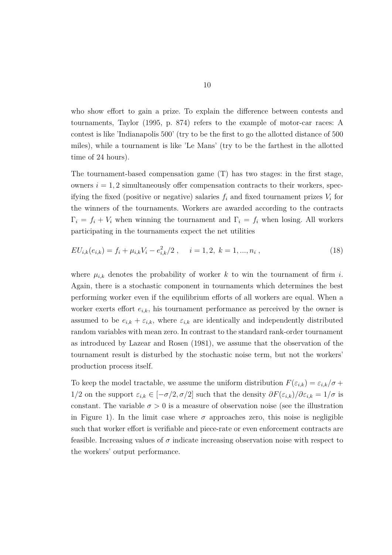who show effort to gain a prize. To explain the difference between contests and tournaments, Taylor (1995, p. 874) refers to the example of motor-car races: A contest is like 'Indianapolis 500' (try to be the first to go the allotted distance of 500 miles), while a tournament is like 'Le Mans' (try to be the farthest in the allotted time of 24 hours).

The tournament-based compensation game (T) has two stages: in the first stage, owners  $i = 1, 2$  simultaneously offer compensation contracts to their workers, specifying the fixed (positive or negative) salaries  $f_i$  and fixed tournament prizes  $V_i$  for the winners of the tournaments. Workers are awarded according to the contracts  $\Gamma_i = f_i + V_i$  when winning the tournament and  $\Gamma_i = f_i$  when losing. All workers participating in the tournaments expect the net utilities

$$
EU_{i,k}(e_{i,k}) = f_i + \mu_{i,k} V_i - e_{i,k}^2/2 \ , \quad i = 1, 2, k = 1, ..., n_i \ , \tag{18}
$$

where  $\mu_{i,k}$  denotes the probability of worker k to win the tournament of firm *i*. Again, there is a stochastic component in tournaments which determines the best performing worker even if the equilibrium efforts of all workers are equal. When a worker exerts effort  $e_{i,k}$ , his tournament performance as perceived by the owner is assumed to be  $e_{i,k} + \varepsilon_{i,k}$ , where  $\varepsilon_{i,k}$  are identically and independently distributed random variables with mean zero. In contrast to the standard rank-order tournament as introduced by Lazear and Rosen (1981), we assume that the observation of the tournament result is disturbed by the stochastic noise term, but not the workers' production process itself.

To keep the model tractable, we assume the uniform distribution  $F(\varepsilon_{i,k}) = \varepsilon_{i,k}/\sigma +$ 1/2 on the support  $\varepsilon_{i,k} \in [-\sigma/2, \sigma/2]$  such that the density  $\partial F(\varepsilon_{i,k})/\partial \varepsilon_{i,k} = 1/\sigma$  is constant. The variable  $\sigma > 0$  is a measure of observation noise (see the illustration in Figure 1). In the limit case where  $\sigma$  approaches zero, this noise is negligible such that worker effort is verifiable and piece-rate or even enforcement contracts are feasible. Increasing values of  $\sigma$  indicate increasing observation noise with respect to the workers' output performance.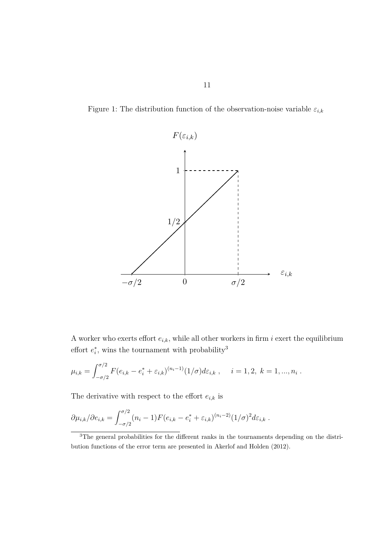Figure 1: The distribution function of the observation-noise variable  $\varepsilon_{i,k}$ 



A worker who exerts effort  $e_{i,k}$ , while all other workers in firm  $i$  exert the equilibrium effort  $e_i^*$ , wins the tournament with probability<sup>3</sup>

$$
\mu_{i,k} = \int_{-\sigma/2}^{\sigma/2} F(e_{i,k} - e_i^* + \varepsilon_{i,k})^{(n_i - 1)} (1/\sigma) d\varepsilon_{i,k} , \quad i = 1, 2, k = 1, ..., n_i .
$$

The derivative with respect to the effort  $\boldsymbol{e}_{i,k}$  is

$$
\partial \mu_{i,k} / \partial e_{i,k} = \int_{-\sigma/2}^{\sigma/2} (n_i - 1) F(e_{i,k} - e_i^* + \varepsilon_{i,k})^{(n_i - 2)} (1/\sigma)^2 d\varepsilon_{i,k} .
$$

<sup>3</sup>The general probabilities for the different ranks in the tournaments depending on the distribution functions of the error term are presented in Akerlof and Holden (2012).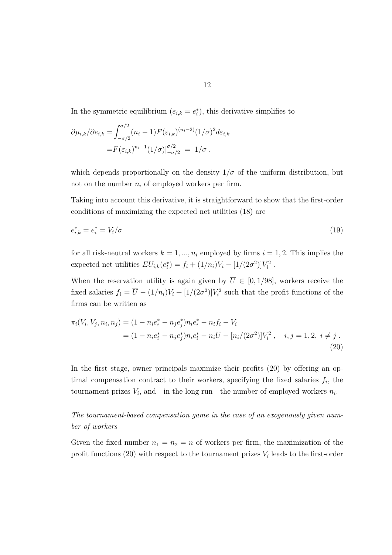In the symmetric equilibrium  $(e_{i,k} = e_i^*)$ , this derivative simplifies to

$$
\partial \mu_{i,k} / \partial e_{i,k} = \int_{-\sigma/2}^{\sigma/2} (n_i - 1) F(\varepsilon_{i,k})^{(n_i - 2)} (1/\sigma)^2 d\varepsilon_{i,k}
$$
  
=  $F(\varepsilon_{i,k})^{n_i - 1} (1/\sigma)|_{-\sigma/2}^{\sigma/2} = 1/\sigma$ ,

which depends proportionally on the density  $1/\sigma$  of the uniform distribution, but not on the number  $n_i$  of employed workers per firm.

Taking into account this derivative, it is straightforward to show that the first-order conditions of maximizing the expected net utilities (18) are

$$
e_{i,k}^* = e_i^* = V_i/\sigma \tag{19}
$$

for all risk-neutral workers  $k = 1, ..., n_i$  employed by firms  $i = 1, 2$ . This implies the expected net utilities  $EU_{i,k}(e_i^*) = f_i + (1/n_i)V_i - [1/(2\sigma^2)]V_i^2$ .

When the reservation utility is again given by  $\overline{U} \in [0, 1/98]$ , workers receive the fixed salaries  $f_i = \overline{U} - (1/n_i)V_i + [1/(2\sigma^2)]V_i^2$  such that the profit functions of the firms can be written as

$$
\pi_i(V_i, V_j, n_i, n_j) = (1 - n_i e_i^* - n_j e_j^*) n_i e_i^* - n_i f_i - V_i
$$
  
= 
$$
(1 - n_i e_i^* - n_j e_j^*) n_i e_i^* - n_i \overline{U} - [n_i/(2\sigma^2)] V_i^2 , \quad i, j = 1, 2, i \neq j.
$$
 (20)

In the first stage, owner principals maximize their profits (20) by offering an optimal compensation contract to their workers, specifying the fixed salaries  $f_i$ , the tournament prizes  $V_i$ , and - in the long-run - the number of employed workers  $n_i$ .

*The tournament-based compensation game in the case of an exogenously given number of workers*

Given the fixed number  $n_1 = n_2 = n$  of workers per firm, the maximization of the profit functions (20) with respect to the tournament prizes *V<sup>i</sup>* leads to the first-order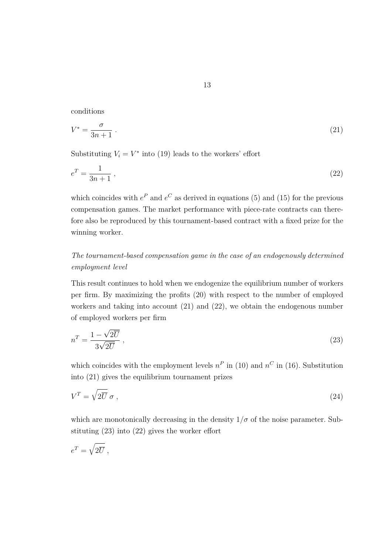conditions

$$
V^* = \frac{\sigma}{3n+1} \tag{21}
$$

Substituting  $V_i = V^*$  into (19) leads to the workers' effort

$$
e^T = \frac{1}{3n+1} \,,\tag{22}
$$

which coincides with  $e^P$  and  $e^C$  as derived in equations (5) and (15) for the previous compensation games. The market performance with piece-rate contracts can therefore also be reproduced by this tournament-based contract with a fixed prize for the winning worker.

#### *The tournament-based compensation game in the case of an endogenously determined employment level*

This result continues to hold when we endogenize the equilibrium number of workers per firm. By maximizing the profits (20) with respect to the number of employed workers and taking into account (21) and (22), we obtain the endogenous number of employed workers per firm

$$
n^T = \frac{1 - \sqrt{2\overline{U}}}{3\sqrt{2\overline{U}}},\qquad(23)
$$

which coincides with the employment levels  $n^P$  in (10) and  $n^C$  in (16). Substitution into (21) gives the equilibrium tournament prizes

$$
V^T = \sqrt{2\overline{U}} \,\,\sigma \,\,,\tag{24}
$$

which are monotonically decreasing in the density  $1/\sigma$  of the noise parameter. Substituting (23) into (22) gives the worker effort

$$
e^T = \sqrt{2\overline{U}} \; ,
$$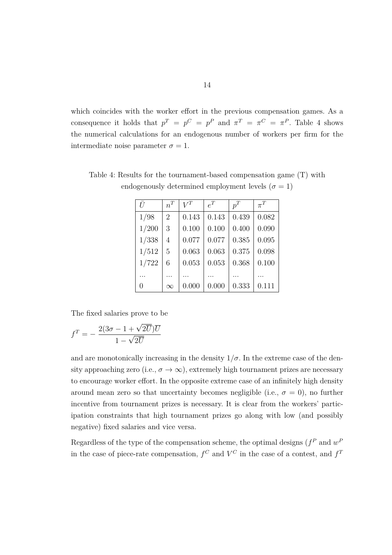which coincides with the worker effort in the previous compensation games. As a consequence it holds that  $p^T = p^C = p^P$  and  $\pi^T = \pi^C = \pi^P$ . Table 4 shows the numerical calculations for an endogenous number of workers per firm for the intermediate noise parameter  $\sigma = 1$ .

| Ū     | $n^T$          | $V^T$ | $e^{T}$ | $p^T$ | $\pi^T$ |
|-------|----------------|-------|---------|-------|---------|
| 1/98  | $\overline{2}$ | 0.143 | 0.143   | 0.439 | 0.082   |
| 1/200 | 3              | 0.100 | 0.100   | 0.400 | 0.090   |
| 1/338 | 4              | 0.077 | 0.077   | 0.385 | 0.095   |
| 1/512 | 5              | 0.063 | 0.063   | 0.375 | 0.098   |
| 1/722 | 6              | 0.053 | 0.053   | 0.368 | 0.100   |
|       |                |       |         |       |         |
| 0     | $\infty$       | 0.000 | 0.000   | 0.333 | 0.111   |

Table 4: Results for the tournament-based compensation game (T) with endogenously determined employment levels ( $\sigma = 1$ )

The fixed salaries prove to be

$$
f^T = -\frac{2(3\sigma - 1 + \sqrt{2\overline{U}})\overline{U}}{1 - \sqrt{2\overline{U}}}
$$

and are monotonically increasing in the density  $1/\sigma$ . In the extreme case of the density approaching zero (i.e.,  $\sigma \to \infty$ ), extremely high tournament prizes are necessary to encourage worker effort. In the opposite extreme case of an infinitely high density around mean zero so that uncertainty becomes negligible (i.e.,  $\sigma = 0$ ), no further incentive from tournament prizes is necessary. It is clear from the workers' participation constraints that high tournament prizes go along with low (and possibly negative) fixed salaries and vice versa.

Regardless of the type of the compensation scheme, the optimal designs  $(f^P \text{ and } w^P)$ in the case of piece-rate compensation,  $f^C$  and  $V^C$  in the case of a contest, and  $f^T$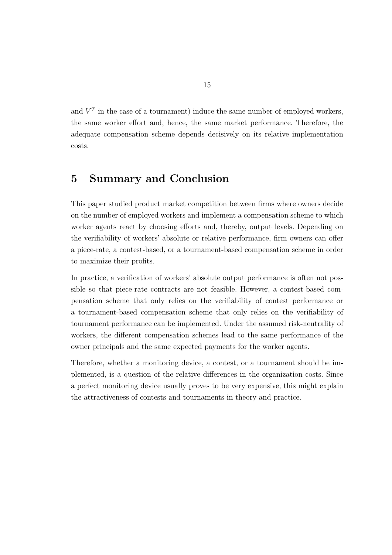and  $V<sup>T</sup>$  in the case of a tournament) induce the same number of employed workers, the same worker effort and, hence, the same market performance. Therefore, the adequate compensation scheme depends decisively on its relative implementation costs.

## **5 Summary and Conclusion**

This paper studied product market competition between firms where owners decide on the number of employed workers and implement a compensation scheme to which worker agents react by choosing efforts and, thereby, output levels. Depending on the verifiability of workers' absolute or relative performance, firm owners can offer a piece-rate, a contest-based, or a tournament-based compensation scheme in order to maximize their profits.

In practice, a verification of workers' absolute output performance is often not possible so that piece-rate contracts are not feasible. However, a contest-based compensation scheme that only relies on the verifiability of contest performance or a tournament-based compensation scheme that only relies on the verifiability of tournament performance can be implemented. Under the assumed risk-neutrality of workers, the different compensation schemes lead to the same performance of the owner principals and the same expected payments for the worker agents.

Therefore, whether a monitoring device, a contest, or a tournament should be implemented, is a question of the relative differences in the organization costs. Since a perfect monitoring device usually proves to be very expensive, this might explain the attractiveness of contests and tournaments in theory and practice.